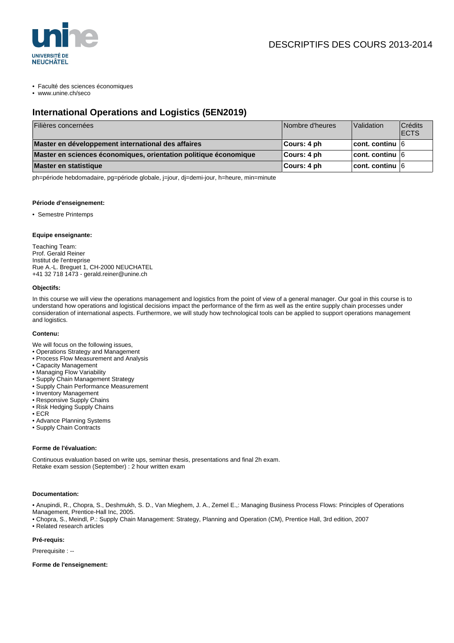

#### • Faculté des sciences économiques

• www.unine.ch/seco

# **International Operations and Logistics (5EN2019)**

| Filières concernées                                              | Nombre d'heures | Validation              | Crédits<br><b>IECTS</b> |
|------------------------------------------------------------------|-----------------|-------------------------|-------------------------|
| Master en développement international des affaires               | ∣Cours: 4 ph    | $ $ cont. continu $ 6 $ |                         |
| Master en sciences économiques, orientation politique économique | ∣Cours: 4 ph    | $ $ cont. continu $ 6 $ |                         |
| Master en statistique                                            | ∣Cours: 4 ph    | $ $ cont. continu $ 6 $ |                         |

ph=période hebdomadaire, pg=période globale, j=jour, dj=demi-jour, h=heure, min=minute

#### **Période d'enseignement:**

• Semestre Printemps

### **Equipe enseignante:**

Teaching Team: Prof. Gerald Reiner Institut de l'entreprise Rue A.-L. Breguet 1, CH-2000 NEUCHATEL +41 32 718 1473 - gerald.reiner@unine.ch

### **Objectifs:**

In this course we will view the operations management and logistics from the point of view of a general manager. Our goal in this course is to understand how operations and logistical decisions impact the performance of the firm as well as the entire supply chain processes under consideration of international aspects. Furthermore, we will study how technological tools can be applied to support operations management and logistics.

#### **Contenu:**

- We will focus on the following issues,
- Operations Strategy and Management
- Process Flow Measurement and Analysis
- Capacity Management
- Managing Flow Variability
- Supply Chain Management Strategy
- Supply Chain Performance Measurement
- Inventory Management
- Responsive Supply Chains
- Risk Hedging Supply Chains
- ECR
- Advance Planning Systems
- Supply Chain Contracts

#### **Forme de l'évaluation:**

Continuous evaluation based on write ups, seminar thesis, presentations and final 2h exam. Retake exam session (September) : 2 hour written exam

#### **Documentation:**

• Anupindi, R., Chopra, S., Deshmukh, S. D., Van Mieghem, J. A., Zemel E.,: Managing Business Process Flows: Principles of Operations Management, Prentice-Hall Inc, 2005.

• Chopra, S., Meindl, P.: Supply Chain Management: Strategy, Planning and Operation (CM), Prentice Hall, 3rd edition, 2007

• Related research articles

#### **Pré-requis:**

Prerequisite : --

**Forme de l'enseignement:**